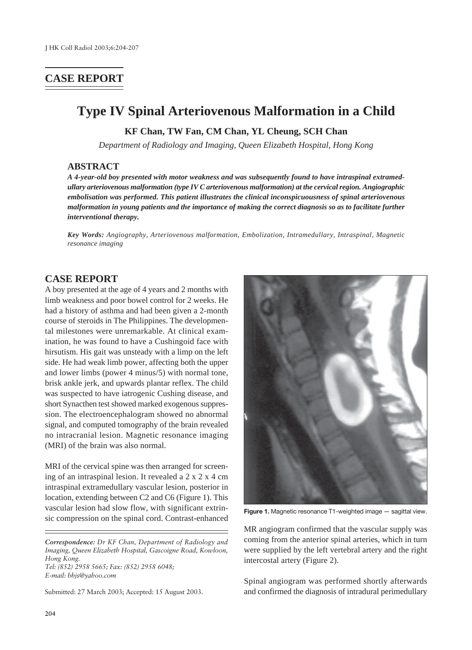## **CASE REPORT**

# **Type IV Spinal Arteriovenous Malformation in a Child**

**KF Chan, TW Fan, CM Chan, YL Cheung, SCH Chan**

*Department of Radiology and Imaging, Queen Elizabeth Hospital, Hong Kong*

#### **ABSTRACT**

*A 4-year-old boy presented with motor weakness and was subsequently found to have intraspinal extramedullary arteriovenous malformation (type IV C arteriovenous malformation) at the cervical region. Angiographic embolisation was performed. This patient illustrates the clinical inconspicuousness of spinal arteriovenous malformation in young patients and the importance of making the correct diagnosis so as to facilitate further interventional therapy.*

*Key Words: Angiography, Arteriovenous malformation, Embolization, Intramedullary, Intraspinal, Magnetic resonance imaging*

#### **CASE REPORT**

A boy presented at the age of 4 years and 2 months with limb weakness and poor bowel control for 2 weeks. He had a history of asthma and had been given a 2-month course of steroids in The Philippines. The developmental milestones were unremarkable. At clinical examination, he was found to have a Cushingoid face with hirsutism. His gait was unsteady with a limp on the left side. He had weak limb power, affecting both the upper and lower limbs (power 4 minus/5) with normal tone, brisk ankle jerk, and upwards plantar reflex. The child was suspected to have iatrogenic Cushing disease, and short Synacthen test showed marked exogenous suppression. The electroencephalogram showed no abnormal signal, and computed tomography of the brain revealed no intracranial lesion. Magnetic resonance imaging (MRI) of the brain was also normal.

MRI of the cervical spine was then arranged for screening of an intraspinal lesion. It revealed a 2 x 2 x 4 cm intraspinal extramedullary vascular lesion, posterior in location, extending between C2 and C6 (Figure 1). This vascular lesion had slow flow, with significant extrinsic compression on the spinal cord. Contrast-enhanced

*Correspondence: Dr KF Chan, Department of Radiology and Imaging, Queen Elizabeth Hospital, Gascoigne Road, Kowloon, Hong Kong. Tel: (852) 2958 5665; Fax: (852) 2958 6048; E-mail: bhjs@yahoo.com*

Submitted: 27 March 2003; Accepted: 15 August 2003.



**Figure 1.** Magnetic resonance T1-weighted image — sagittal view.

MR angiogram confirmed that the vascular supply was coming from the anterior spinal arteries, which in turn were supplied by the left vertebral artery and the right intercostal artery (Figure 2).

Spinal angiogram was performed shortly afterwards and confirmed the diagnosis of intradural perimedullary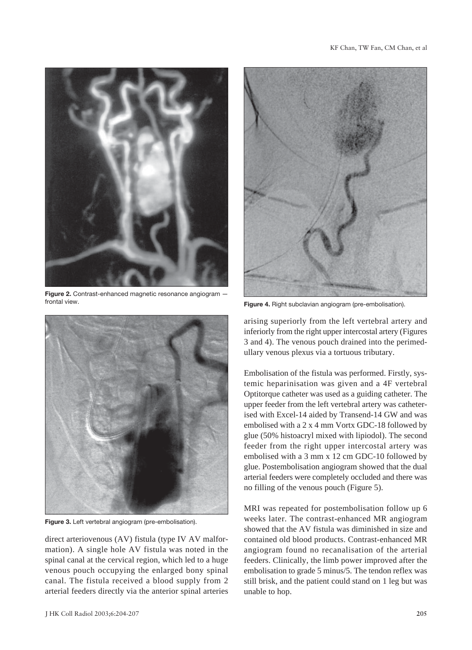

**Figure 2.** Contrast-enhanced magnetic resonance angiogram frontal view.



**Figure 3.** Left vertebral angiogram (pre-embolisation).

direct arteriovenous (AV) fistula (type IV AV malformation). A single hole AV fistula was noted in the spinal canal at the cervical region, which led to a huge venous pouch occupying the enlarged bony spinal canal. The fistula received a blood supply from 2 arterial feeders directly via the anterior spinal arteries



**Figure 4.** Right subclavian angiogram (pre-embolisation).

arising superiorly from the left vertebral artery and inferiorly from the right upper intercostal artery (Figures 3 and 4). The venous pouch drained into the perimedullary venous plexus via a tortuous tributary.

Embolisation of the fistula was performed. Firstly, systemic heparinisation was given and a 4F vertebral Optitorque catheter was used as a guiding catheter. The upper feeder from the left vertebral artery was catheterised with Excel-14 aided by Transend-14 GW and was embolised with a 2 x 4 mm Vortx GDC-18 followed by glue (50% histoacryl mixed with lipiodol). The second feeder from the right upper intercostal artery was embolised with a 3 mm x 12 cm GDC-10 followed by glue. Postembolisation angiogram showed that the dual arterial feeders were completely occluded and there was no filling of the venous pouch (Figure 5).

MRI was repeated for postembolisation follow up 6 weeks later. The contrast-enhanced MR angiogram showed that the AV fistula was diminished in size and contained old blood products. Contrast-enhanced MR angiogram found no recanalisation of the arterial feeders. Clinically, the limb power improved after the embolisation to grade 5 minus/5. The tendon reflex was still brisk, and the patient could stand on 1 leg but was unable to hop.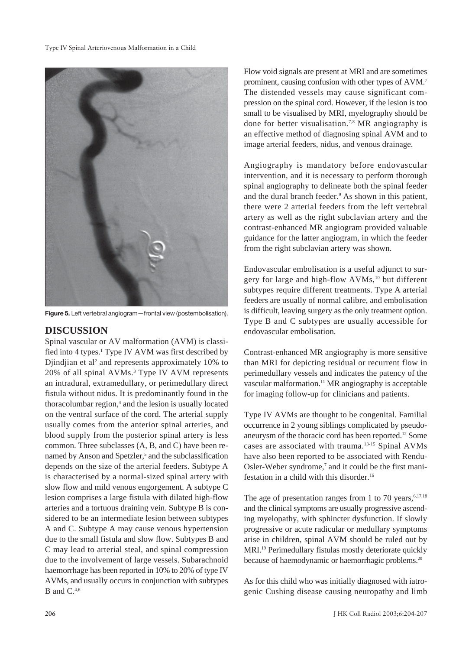

**Figure 5.** Left vertebral angiogram—frontal view (postembolisation).

### **DISCUSSION**

Spinal vascular or AV malformation (AVM) is classified into 4 types.<sup>1</sup> Type IV AVM was first described by Djindjian et al<sup>2</sup> and represents approximately 10% to 20% of all spinal AVMs.3 Type IV AVM represents an intradural, extramedullary, or perimedullary direct fistula without nidus. It is predominantly found in the thoracolumbar region,<sup>4</sup> and the lesion is usually located on the ventral surface of the cord. The arterial supply usually comes from the anterior spinal arteries, and blood supply from the posterior spinal artery is less common. Three subclasses (A, B, and C) have been renamed by Anson and Spetzler,<sup>5</sup> and the subclassification depends on the size of the arterial feeders. Subtype A is characterised by a normal-sized spinal artery with slow flow and mild venous engorgement. A subtype C lesion comprises a large fistula with dilated high-flow arteries and a tortuous draining vein. Subtype B is considered to be an intermediate lesion between subtypes A and C. Subtype A may cause venous hypertension due to the small fistula and slow flow. Subtypes B and C may lead to arterial steal, and spinal compression due to the involvement of large vessels. Subarachnoid haemorrhage has been reported in 10% to 20% of type IV AVMs, and usually occurs in conjunction with subtypes B and  $C.^{4,6}$ 

Flow void signals are present at MRI and are sometimes prominent, causing confusion with other types of AVM.7 The distended vessels may cause significant compression on the spinal cord. However, if the lesion is too small to be visualised by MRI, myelography should be done for better visualisation.7,8 MR angiography is an effective method of diagnosing spinal AVM and to image arterial feeders, nidus, and venous drainage.

Angiography is mandatory before endovascular intervention, and it is necessary to perform thorough spinal angiography to delineate both the spinal feeder and the dural branch feeder.<sup>9</sup> As shown in this patient, there were 2 arterial feeders from the left vertebral artery as well as the right subclavian artery and the contrast-enhanced MR angiogram provided valuable guidance for the latter angiogram, in which the feeder from the right subclavian artery was shown.

Endovascular embolisation is a useful adjunct to surgery for large and high-flow AVMs,<sup>10</sup> but different subtypes require different treatments. Type A arterial feeders are usually of normal calibre, and embolisation is difficult, leaving surgery as the only treatment option. Type B and C subtypes are usually accessible for endovascular embolisation.

Contrast-enhanced MR angiography is more sensitive than MRI for depicting residual or recurrent flow in perimedullary vessels and indicates the patency of the vascular malformation.<sup>11</sup> MR angiography is acceptable for imaging follow-up for clinicians and patients.

Type IV AVMs are thought to be congenital. Familial occurrence in 2 young siblings complicated by pseudoaneurysm of the thoracic cord has been reported.12 Some cases are associated with trauma.13-15 Spinal AVMs have also been reported to be associated with Rendu-Osler-Weber syndrome,<sup>7</sup> and it could be the first manifestation in a child with this disorder.16

The age of presentation ranges from 1 to 70 years, $6,17,18$ and the clinical symptoms are usually progressive ascending myelopathy, with sphincter dysfunction. If slowly progressive or acute radicular or medullary symptoms arise in children, spinal AVM should be ruled out by MRI.19 Perimedullary fistulas mostly deteriorate quickly because of haemodynamic or haemorrhagic problems.<sup>20</sup>

As for this child who was initially diagnosed with iatrogenic Cushing disease causing neuropathy and limb